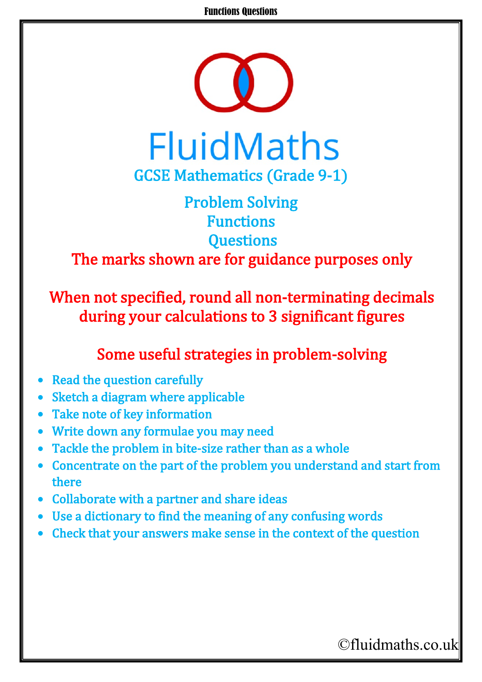#### Functions Questions



## Problem Solving Functions **Questions** The marks shown are for guidance purposes only

When not specified, round all non-terminating decimals during your calculations to 3 significant figures

### Some useful strategies in problem-solving

- **Read the question carefully**
- Sketch a diagram where applicable
- Take note of key information
- Write down any formulae you may need
- Tackle the problem in bite-size rather than as a whole
- Concentrate on the part of the problem you understand and start from there
- Collaborate with a partner and share ideas
- Use a dictionary to find the meaning of any confusing words
- Check that your answers make sense in the context of the question

# ©fluidmaths.co.uk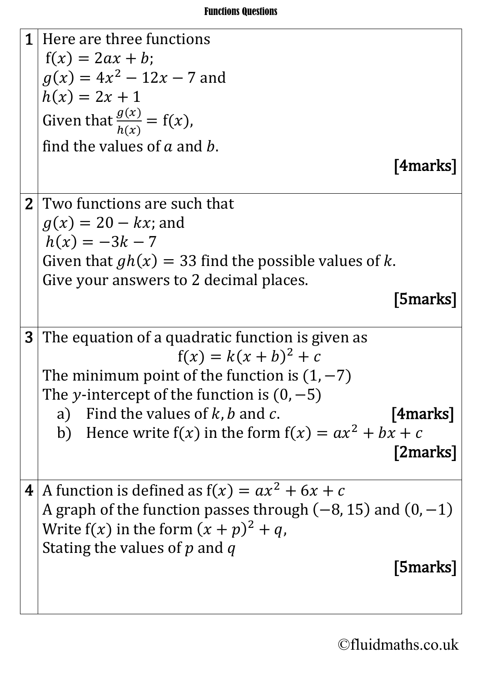

©fluidmaths.co.uk